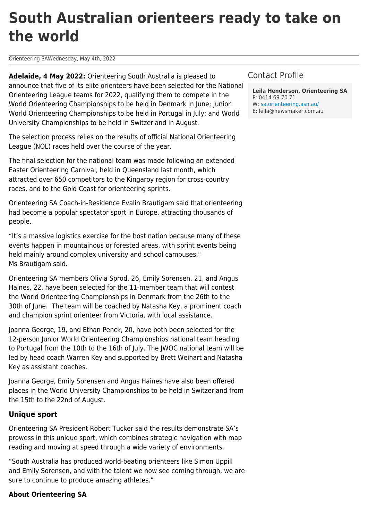## **South Australian orienteers ready to take on the world**

Orienteering SAWednesday, May 4th, 2022

**Adelaide, 4 May 2022:** Orienteering South Australia is pleased to announce that five of its elite orienteers have been selected for the National Orienteering League teams for 2022, qualifying them to compete in the World Orienteering Championships to be held in Denmark in June; Junior World Orienteering Championships to be held in Portugal in July; and World University Championships to be held in Switzerland in August.

The selection process relies on the results of official National Orienteering League (NOL) races held over the course of the year.

The final selection for the national team was made following an extended Easter Orienteering Carnival, held in Queensland last month, which attracted over 650 competitors to the Kingaroy region for cross-country races, and to the Gold Coast for orienteering sprints.

Orienteering SA Coach-in-Residence Evalin Brautigam said that orienteering had become a popular spectator sport in Europe, attracting thousands of people.

"It's a massive logistics exercise for the host nation because many of these events happen in mountainous or forested areas, with sprint events being held mainly around complex university and school campuses," Ms Brautigam said.

Orienteering SA members Olivia Sprod, 26, Emily Sorensen, 21, and Angus Haines, 22, have been selected for the 11-member team that will contest the World Orienteering Championships in Denmark from the 26th to the 30th of June. The team will be coached by Natasha Key, a prominent coach and champion sprint orienteer from Victoria, with local assistance.

Joanna George, 19, and Ethan Penck, 20, have both been selected for the 12-person Junior World Orienteering Championships national team heading to Portugal from the 10th to the 16th of July. The JWOC national team will be led by head coach Warren Key and supported by Brett Weihart and Natasha Key as assistant coaches.

Joanna George, Emily Sorensen and Angus Haines have also been offered places in the World University Championships to be held in Switzerland from the 15th to the 22nd of August.

## **Unique sport**

Orienteering SA President Robert Tucker said the results demonstrate SA's prowess in this unique sport, which combines strategic navigation with map reading and moving at speed through a wide variety of environments.

"South Australia has produced world-beating orienteers like Simon Uppill and Emily Sorensen, and with the talent we now see coming through, we are sure to continue to produce amazing athletes."

## **About Orienteering SA**

## Contact Profile

**Leila Henderson, Orienteering SA** P: 0414 69 70 71 W: [sa.orienteering.asn.au/](https://sa.orienteering.asn.au/) E: leila@newsmaker.com.au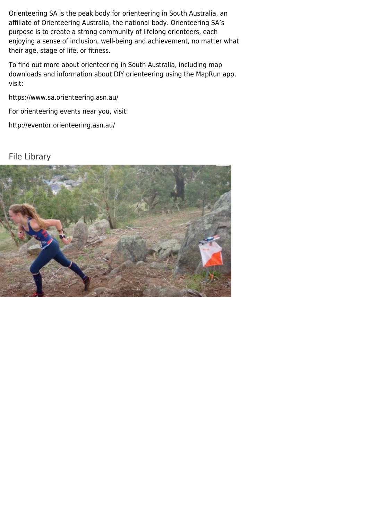Orienteering SA is the peak body for orienteering in South Australia, an affiliate of Orienteering Australia, the national body. Orienteering SA's purpose is to create a strong community of lifelong orienteers, each enjoying a sense of inclusion, well-being and achievement, no matter what their age, stage of life, or fitness.

To find out more about orienteering in South Australia, including map downloads and information about DIY orienteering using the MapRun app, visit:

<https://www.sa.orienteering.asn.au/>

For orienteering events near you, visit:

<http://eventor.orienteering.asn.au/>

File Library